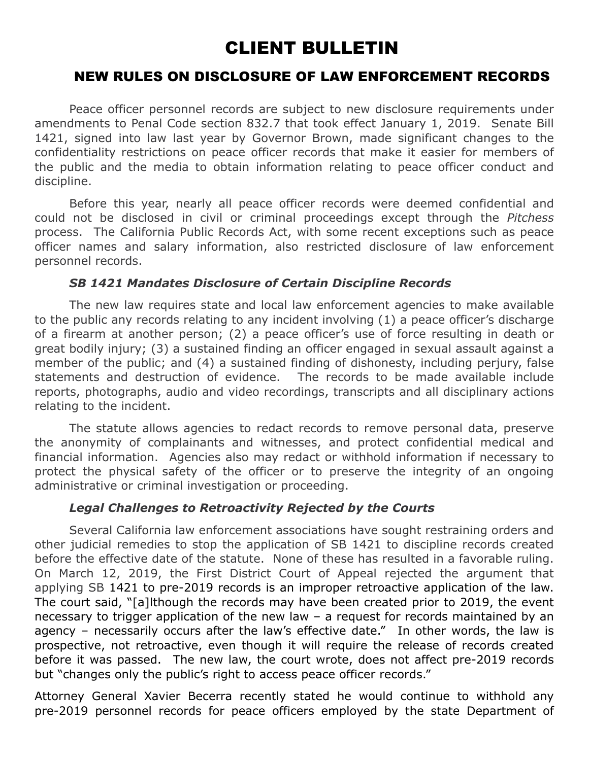## CLIENT BULLETIN

## NEW RULES ON DISCLOSURE OF LAW ENFORCEMENT RECORDS

Peace officer personnel records are subject to new disclosure requirements under amendments to Penal Code section 832.7 that took effect January 1, 2019. Senate Bill 1421, signed into law last year by Governor Brown, made significant changes to the confidentiality restrictions on peace officer records that make it easier for members of the public and the media to obtain information relating to peace officer conduct and discipline.

Before this year, nearly all peace officer records were deemed confidential and could not be disclosed in civil or criminal proceedings except through the *Pitchess* process. The California Public Records Act, with some recent exceptions such as peace officer names and salary information, also restricted disclosure of law enforcement personnel records.

## *SB 1421 Mandates Disclosure of Certain Discipline Records*

The new law requires state and local law enforcement agencies to make available to the public any records relating to any incident involving (1) a peace officer's discharge of a firearm at another person; (2) a peace officer's use of force resulting in death or great bodily injury; (3) a sustained finding an officer engaged in sexual assault against a member of the public; and (4) a sustained finding of dishonesty, including perjury, false statements and destruction of evidence. The records to be made available include reports, photographs, audio and video recordings, transcripts and all disciplinary actions relating to the incident.

The statute allows agencies to redact records to remove personal data, preserve the anonymity of complainants and witnesses, and protect confidential medical and financial information. Agencies also may redact or withhold information if necessary to protect the physical safety of the officer or to preserve the integrity of an ongoing administrative or criminal investigation or proceeding.

## *Legal Challenges to Retroactivity Rejected by the Courts*

Several California law enforcement associations have sought restraining orders and other judicial remedies to stop the application of SB 1421 to discipline records created before the effective date of the statute. None of these has resulted in a favorable ruling. On March 12, 2019, the First District Court of Appeal rejected the argument that applying SB 1421 to pre-2019 records is an improper retroactive application of the law. The court said, "[a]lthough the records may have been created prior to 2019, the event necessary to trigger application of the new law – a request for records maintained by an agency – necessarily occurs after the law's effective date." In other words, the law is prospective, not retroactive, even though it will require the release of records created before it was passed. The new law, the court wrote, does not affect pre-2019 records but "changes only the public's right to access peace officer records."

Attorney General Xavier Becerra recently stated he would continue to withhold any pre-2019 personnel records for peace officers employed by the state Department of